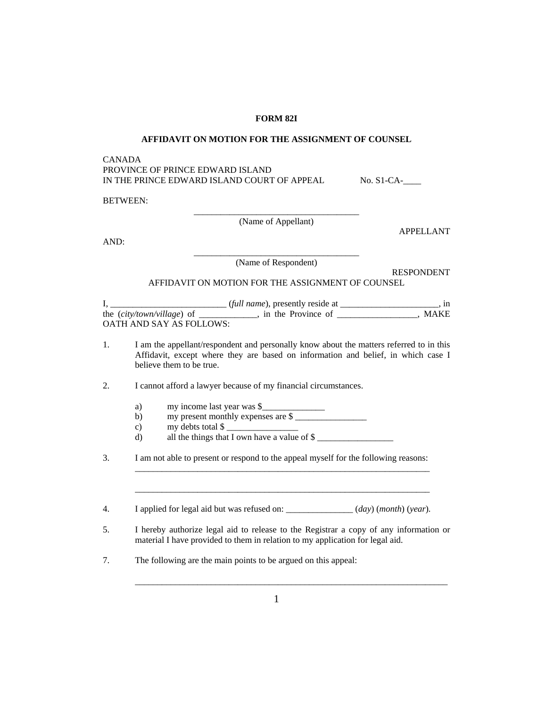## **FORM 82I**

## **AFFIDAVIT ON MOTION FOR THE ASSIGNMENT OF COUNSEL**

## CANADA PROVINCE OF PRINCE EDWARD ISLAND IN THE PRINCE EDWARD ISLAND COURT OF APPEAL No. S1-CA-

BETWEEN:

\_\_\_\_\_\_\_\_\_\_\_\_\_\_\_\_\_\_\_\_\_\_\_\_\_\_\_\_\_\_\_\_\_\_\_\_\_ (Name of Appellant)

AND:

\_\_\_\_\_\_\_\_\_\_\_\_\_\_\_\_\_\_\_\_\_\_\_\_\_\_\_\_\_\_\_\_\_\_\_\_\_ (Name of Respondent)

RESPONDENT

APPELLANT

## AFFIDAVIT ON MOTION FOR THE ASSIGNMENT OF COUNSEL

|                                   | (full name), presently reside at | 1n   |
|-----------------------------------|----------------------------------|------|
| the <i>(city/town/village)</i> of | in the Province of               | MAKE |
| OATH AND SAY AS FOLLOWS:          |                                  |      |

- 1. I am the appellant/respondent and personally know about the matters referred to in this Affidavit, except where they are based on information and belief, in which case I believe them to be true.
- 2. I cannot afford a lawyer because of my financial circumstances.
- a) my income last year was \$
- b) my present monthly expenses are  $\frac{1}{2}$ 
	- c) my debts total  $\frac{1}{2}$
	- d) all the things that I own have a value of \$
- 3. I am not able to present or respond to the appeal myself for the following reasons:  $\mathcal{L}=\mathcal{L}=\mathcal{L}=\mathcal{L}=\mathcal{L}=\mathcal{L}=\mathcal{L}=\mathcal{L}=\mathcal{L}=\mathcal{L}=\mathcal{L}=\mathcal{L}=\mathcal{L}=\mathcal{L}=\mathcal{L}=\mathcal{L}=\mathcal{L}=\mathcal{L}=\mathcal{L}=\mathcal{L}=\mathcal{L}=\mathcal{L}=\mathcal{L}=\mathcal{L}=\mathcal{L}=\mathcal{L}=\mathcal{L}=\mathcal{L}=\mathcal{L}=\mathcal{L}=\mathcal{L}=\mathcal{L}=\mathcal{L}=\mathcal{L}=\mathcal{L}=\mathcal{L}=\mathcal{$

4. I applied for legal aid but was refused on: \_\_\_\_\_\_\_\_\_\_\_\_\_\_\_ (*day*) (*month*) (*year*)*.*

 $\mathcal{L}=\mathcal{L}=\mathcal{L}=\mathcal{L}=\mathcal{L}=\mathcal{L}=\mathcal{L}=\mathcal{L}=\mathcal{L}=\mathcal{L}=\mathcal{L}=\mathcal{L}=\mathcal{L}=\mathcal{L}=\mathcal{L}=\mathcal{L}=\mathcal{L}=\mathcal{L}=\mathcal{L}=\mathcal{L}=\mathcal{L}=\mathcal{L}=\mathcal{L}=\mathcal{L}=\mathcal{L}=\mathcal{L}=\mathcal{L}=\mathcal{L}=\mathcal{L}=\mathcal{L}=\mathcal{L}=\mathcal{L}=\mathcal{L}=\mathcal{L}=\mathcal{L}=\mathcal{L}=\mathcal{$ 

- 5. I hereby authorize legal aid to release to the Registrar a copy of any information or material I have provided to them in relation to my application for legal aid.
- 7. The following are the main points to be argued on this appeal:

 $\frac{1}{2}$  ,  $\frac{1}{2}$  ,  $\frac{1}{2}$  ,  $\frac{1}{2}$  ,  $\frac{1}{2}$  ,  $\frac{1}{2}$  ,  $\frac{1}{2}$  ,  $\frac{1}{2}$  ,  $\frac{1}{2}$  ,  $\frac{1}{2}$  ,  $\frac{1}{2}$  ,  $\frac{1}{2}$  ,  $\frac{1}{2}$  ,  $\frac{1}{2}$  ,  $\frac{1}{2}$  ,  $\frac{1}{2}$  ,  $\frac{1}{2}$  ,  $\frac{1}{2}$  ,  $\frac{1$